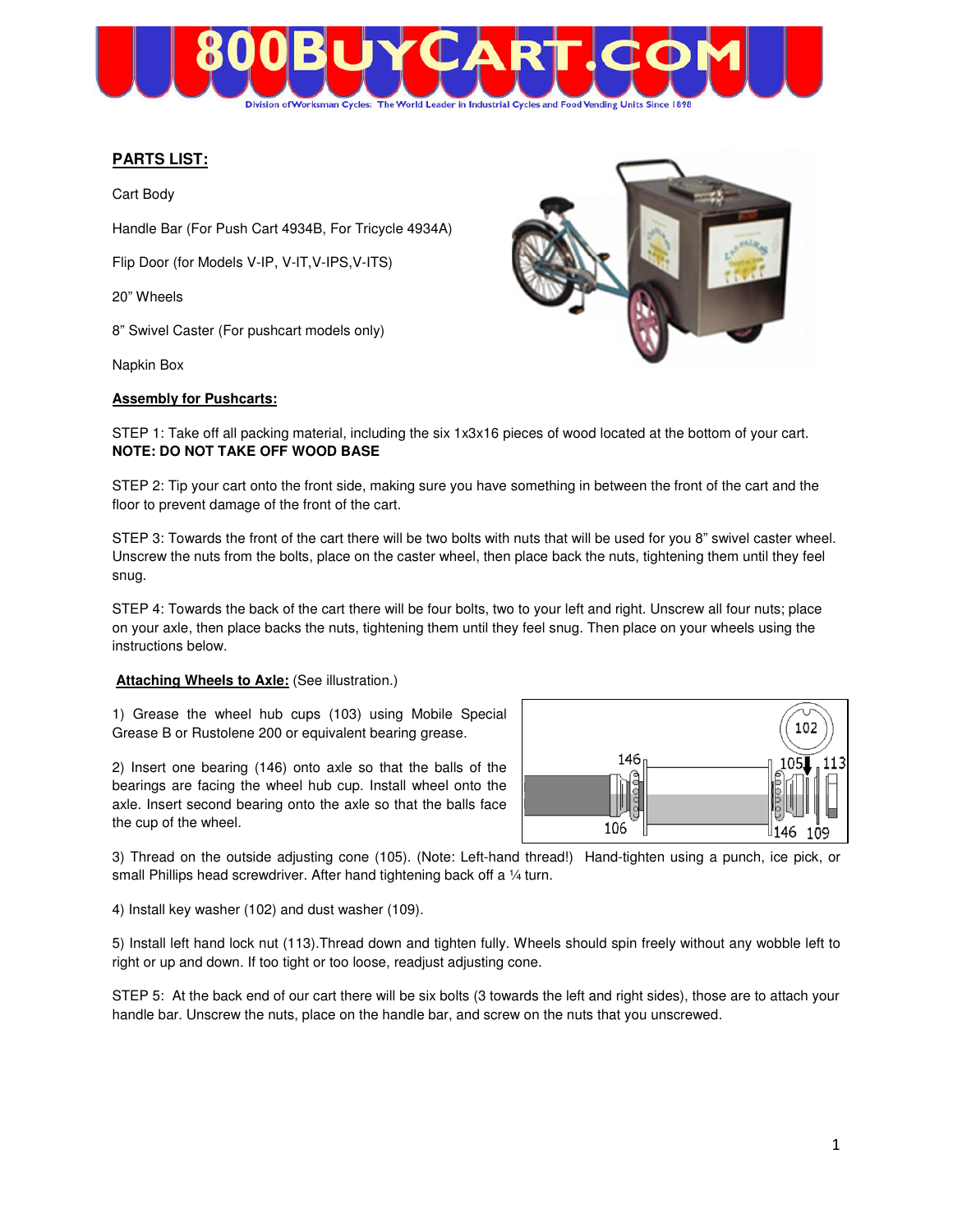

# **PARTS LIST:**

Cart Body

Handle Bar (For Push Cart 4934B, For Tricycle 4934A)

Flip Door (for Models V-IP, V-IT,V-IPS,V-ITS)

20" Wheels

8" Swivel Caster (For pushcart models only)

Napkin Box

### **Assembly for Pushcarts:**



STEP 1: Take off all packing material, including the six 1x3x16 pieces of wood located at the bottom of your cart. **NOTE: DO NOT TAKE OFF WOOD BASE** 

STEP 2: Tip your cart onto the front side, making sure you have something in between the front of the cart and the floor to prevent damage of the front of the cart.

STEP 3: Towards the front of the cart there will be two bolts with nuts that will be used for you 8" swivel caster wheel. Unscrew the nuts from the bolts, place on the caster wheel, then place back the nuts, tightening them until they feel snug.

STEP 4: Towards the back of the cart there will be four bolts, two to your left and right. Unscrew all four nuts; place on your axle, then place backs the nuts, tightening them until they feel snug. Then place on your wheels using the instructions below.

#### **Attaching Wheels to Axle: (See illustration.)**

1) Grease the wheel hub cups (103) using Mobile Special Grease B or Rustolene 200 or equivalent bearing grease.

2) Insert one bearing (146) onto axle so that the balls of the bearings are facing the wheel hub cup. Install wheel onto the axle. Insert second bearing onto the axle so that the balls face the cup of the wheel.



3) Thread on the outside adjusting cone (105). (Note: Left-hand thread!) Hand-tighten using a punch, ice pick, or small Phillips head screwdriver. After hand tightening back off a 1/4 turn.

4) Install key washer (102) and dust washer (109).

5) Install left hand lock nut (113).Thread down and tighten fully. Wheels should spin freely without any wobble left to right or up and down. If too tight or too loose, readjust adjusting cone.

STEP 5: At the back end of our cart there will be six bolts (3 towards the left and right sides), those are to attach your handle bar. Unscrew the nuts, place on the handle bar, and screw on the nuts that you unscrewed.